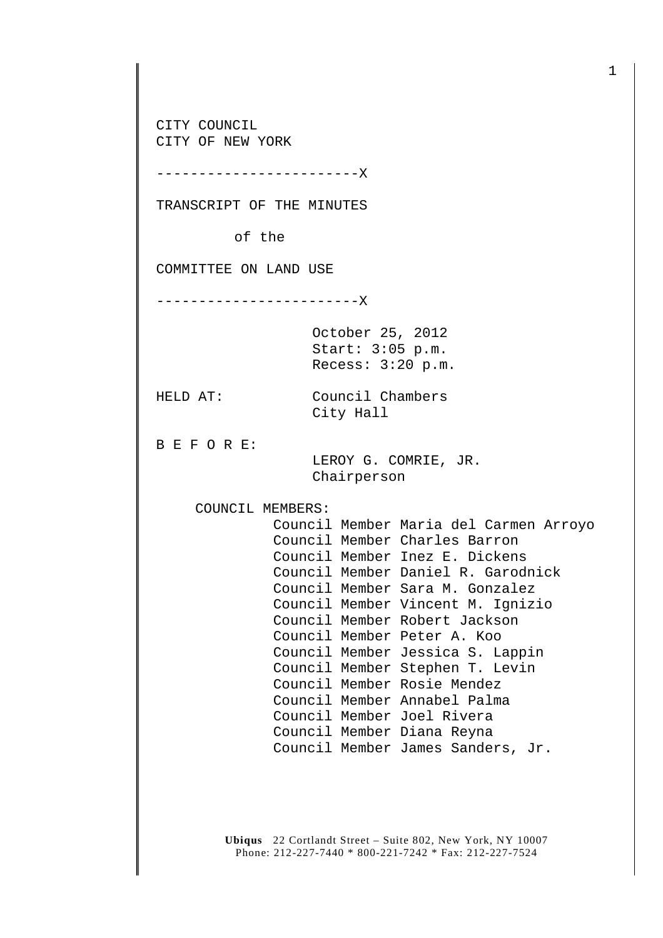**Ubiqus** 22 Cortlandt Street – Suite 802, New York, NY 10007 Phone: 212-227-7440 \* 800-221-7242 \* Fax: 212-227-7524 CITY COUNCIL CITY OF NEW YORK ------------------------X TRANSCRIPT OF THE MINUTES of the COMMITTEE ON LAND USE ------------------------X October 25, 2012 Start: 3:05 p.m. Recess: 3:20 p.m. HELD AT: Council Chambers City Hall B E F O R E: LEROY G. COMRIE, JR. Chairperson COUNCIL MEMBERS: Council Member Maria del Carmen Arroyo Council Member Charles Barron Council Member Inez E. Dickens Council Member Daniel R. Garodnick Council Member Sara M. Gonzalez Council Member Vincent M. Ignizio Council Member Robert Jackson Council Member Peter A. Koo Council Member Jessica S. Lappin Council Member Stephen T. Levin Council Member Rosie Mendez Council Member Annabel Palma Council Member Joel Rivera Council Member Diana Reyna Council Member James Sanders, Jr.

1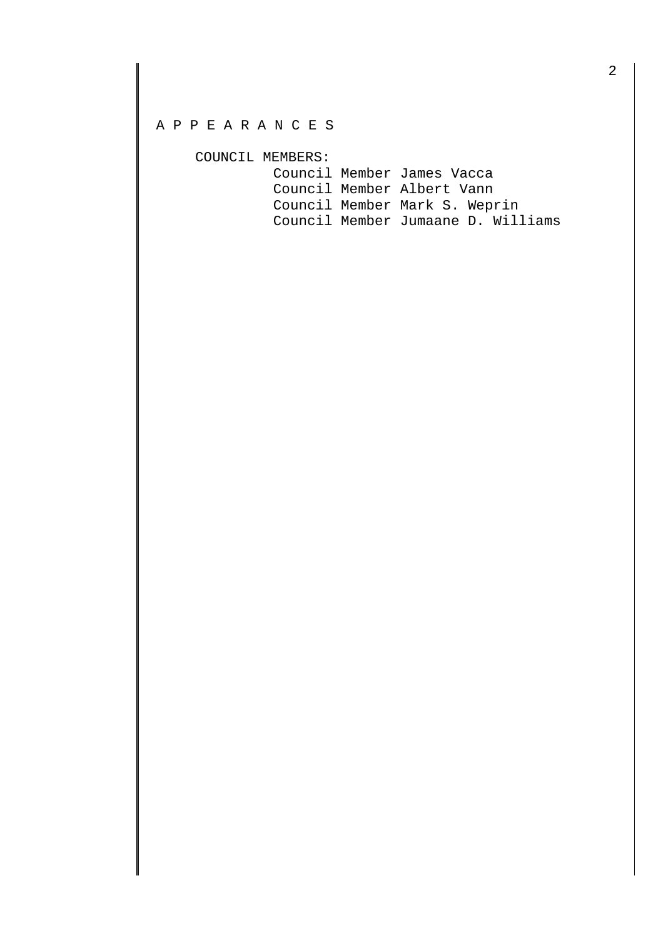## A P P E A R A N C E S

COUNCIL MEMBERS:

| Council Member James Vacca         |  |
|------------------------------------|--|
| Council Member Albert Vann         |  |
| Council Member Mark S. Weprin      |  |
| Council Member Jumaane D. Williams |  |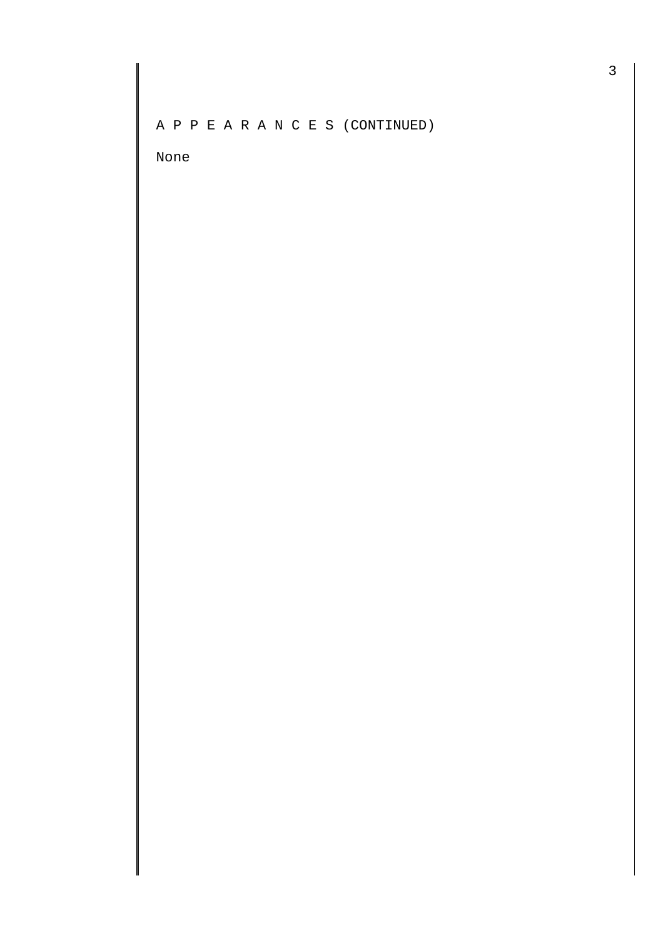A P P E A R A N C E S (CONTINUED)

None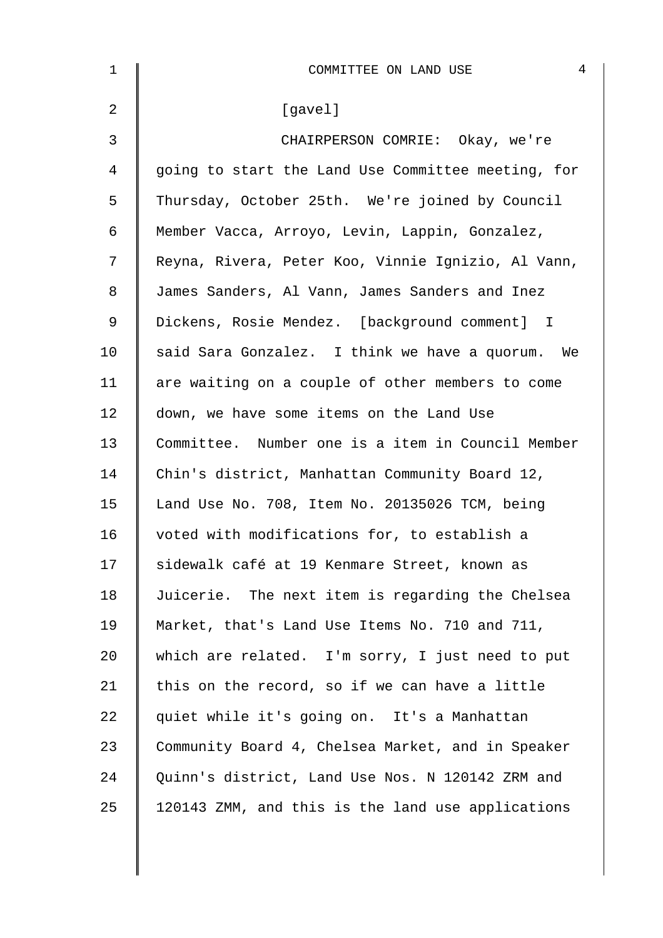| $\mathbf 1$    | 4<br>COMMITTEE ON LAND USE                         |
|----------------|----------------------------------------------------|
| $\overline{a}$ | [gavel]                                            |
| $\mathfrak{Z}$ | CHAIRPERSON COMRIE: Okay, we're                    |
| 4              | going to start the Land Use Committee meeting, for |
| 5              | Thursday, October 25th. We're joined by Council    |
| 6              | Member Vacca, Arroyo, Levin, Lappin, Gonzalez,     |
| 7              | Reyna, Rivera, Peter Koo, Vinnie Ignizio, Al Vann, |
| 8              | James Sanders, Al Vann, James Sanders and Inez     |
| $\mathsf 9$    | Dickens, Rosie Mendez. [background comment] I      |
| 10             | said Sara Gonzalez. I think we have a quorum. We   |
| 11             | are waiting on a couple of other members to come   |
| 12             | down, we have some items on the Land Use           |
| 13             | Committee. Number one is a item in Council Member  |
| 14             | Chin's district, Manhattan Community Board 12,     |
| 15             | Land Use No. 708, Item No. 20135026 TCM, being     |
| 16             | voted with modifications for, to establish a       |
| 17             | sidewalk café at 19 Kenmare Street, known as       |
| 18             | Juicerie. The next item is regarding the Chelsea   |
| 19             | Market, that's Land Use Items No. 710 and 711,     |
| 20             | which are related. I'm sorry, I just need to put   |
| 21             | this on the record, so if we can have a little     |
| 22             | quiet while it's going on. It's a Manhattan        |
| 23             | Community Board 4, Chelsea Market, and in Speaker  |
| 24             | Quinn's district, Land Use Nos. N 120142 ZRM and   |
| 25             | 120143 ZMM, and this is the land use applications  |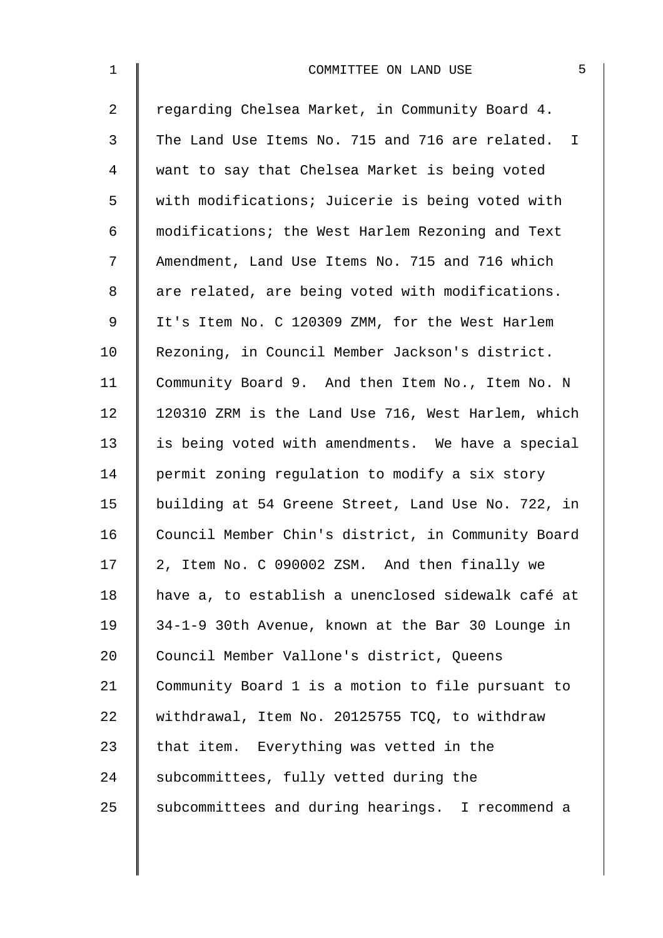| $\mathbf 1$    | 5<br>COMMITTEE ON LAND USE                         |
|----------------|----------------------------------------------------|
| $\overline{2}$ | regarding Chelsea Market, in Community Board 4.    |
| 3              | The Land Use Items No. 715 and 716 are related. I  |
| $\overline{4}$ | want to say that Chelsea Market is being voted     |
| 5              | with modifications; Juicerie is being voted with   |
| 6              | modifications; the West Harlem Rezoning and Text   |
| 7              | Amendment, Land Use Items No. 715 and 716 which    |
| 8              | are related, are being voted with modifications.   |
| $\mathsf 9$    | It's Item No. C 120309 ZMM, for the West Harlem    |
| 10             | Rezoning, in Council Member Jackson's district.    |
| 11             | Community Board 9. And then Item No., Item No. N   |
| 12             | 120310 ZRM is the Land Use 716, West Harlem, which |
| 13             | is being voted with amendments. We have a special  |
| 14             | permit zoning regulation to modify a six story     |
| 15             | building at 54 Greene Street, Land Use No. 722, in |
| 16             | Council Member Chin's district, in Community Board |
| 17             | 2, Item No. C 090002 ZSM. And then finally we      |
| 18             | have a, to establish a unenclosed sidewalk café at |
| 19             | 34-1-9 30th Avenue, known at the Bar 30 Lounge in  |
| 20             | Council Member Vallone's district, Queens          |
| 21             | Community Board 1 is a motion to file pursuant to  |
| 22             | withdrawal, Item No. 20125755 TCQ, to withdraw     |
| 23             | that item. Everything was vetted in the            |
| 24             | subcommittees, fully vetted during the             |
| 25             | subcommittees and during hearings. I recommend a   |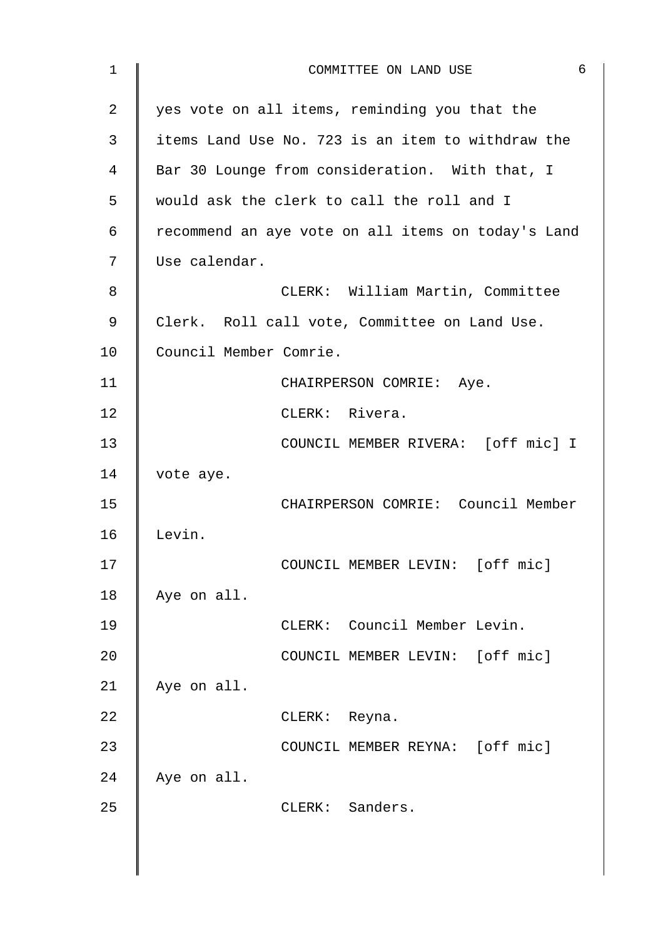| $\mathbf 1$ | 6<br>COMMITTEE ON LAND USE                         |
|-------------|----------------------------------------------------|
| 2           | yes vote on all items, reminding you that the      |
| 3           | items Land Use No. 723 is an item to withdraw the  |
| 4           | Bar 30 Lounge from consideration. With that, I     |
| 5           | would ask the clerk to call the roll and I         |
| 6           | recommend an aye vote on all items on today's Land |
| 7           | Use calendar.                                      |
| 8           | CLERK: William Martin, Committee                   |
| 9           | Clerk. Roll call vote, Committee on Land Use.      |
| 10          | Council Member Comrie.                             |
| 11          | CHAIRPERSON COMRIE: Aye.                           |
| 12          | CLERK: Rivera.                                     |
| 13          | COUNCIL MEMBER RIVERA: [off mic] I                 |
| 14          | vote aye.                                          |
| 15          | CHAIRPERSON COMRIE: Council Member                 |
| 16          | Levin.                                             |
| 17          | COUNCIL MEMBER LEVIN: [off mic]                    |
| 18          | Aye on all.                                        |
| 19          | CLERK: Council Member Levin.                       |
| 20          | COUNCIL MEMBER LEVIN: [off mic]                    |
| 21          | Aye on all.                                        |
| 22          | CLERK: Reyna.                                      |
| 23          | COUNCIL MEMBER REYNA: [off mic]                    |
| 24          | Aye on all.                                        |
| 25          | CLERK: Sanders.                                    |
|             |                                                    |
|             |                                                    |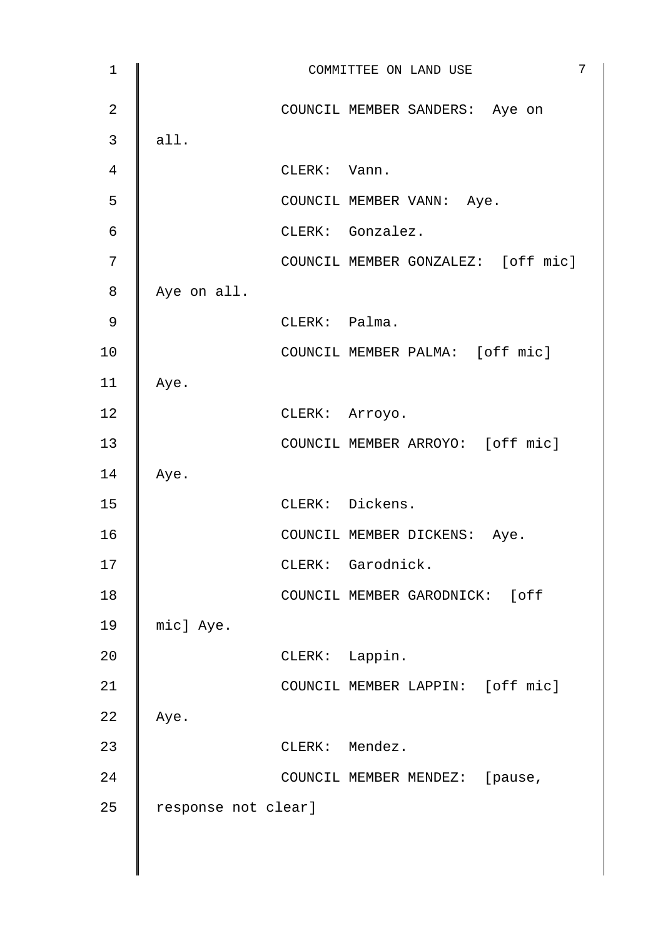| $\mathbf 1$    |                     |                | 7<br>COMMITTEE ON LAND USE         |
|----------------|---------------------|----------------|------------------------------------|
| $\overline{2}$ |                     |                | COUNCIL MEMBER SANDERS: Aye on     |
| $\mathfrak{Z}$ | all.                |                |                                    |
| 4              |                     | CLERK: Vann.   |                                    |
| 5              |                     |                | COUNCIL MEMBER VANN: Aye.          |
| 6              |                     |                | CLERK: Gonzalez.                   |
| 7              |                     |                | COUNCIL MEMBER GONZALEZ: [off mic] |
| 8              | Aye on all.         |                |                                    |
| 9              |                     | CLERK: Palma.  |                                    |
| 10             |                     |                | COUNCIL MEMBER PALMA: [off mic]    |
| 11             | Aye.                |                |                                    |
| 12             |                     | CLERK: Arroyo. |                                    |
| 13             |                     |                | COUNCIL MEMBER ARROYO: [off mic]   |
| 14             | Aye.                |                |                                    |
| 15             |                     |                | CLERK: Dickens.                    |
| 16             |                     |                | COUNCIL MEMBER DICKENS: Aye.       |
| 17             |                     |                | CLERK: Garodnick.                  |
| 18             |                     |                | COUNCIL MEMBER GARODNICK: [off     |
| 19             | mic] Aye.           |                |                                    |
| 20             |                     | CLERK: Lappin. |                                    |
| 21             |                     |                | COUNCIL MEMBER LAPPIN: [off mic]   |
| 22             | Aye.                |                |                                    |
| 23             |                     | CLERK: Mendez. |                                    |
| 24             |                     |                | COUNCIL MEMBER MENDEZ: [pause,     |
| 25             | response not clear] |                |                                    |
|                |                     |                |                                    |
|                |                     |                |                                    |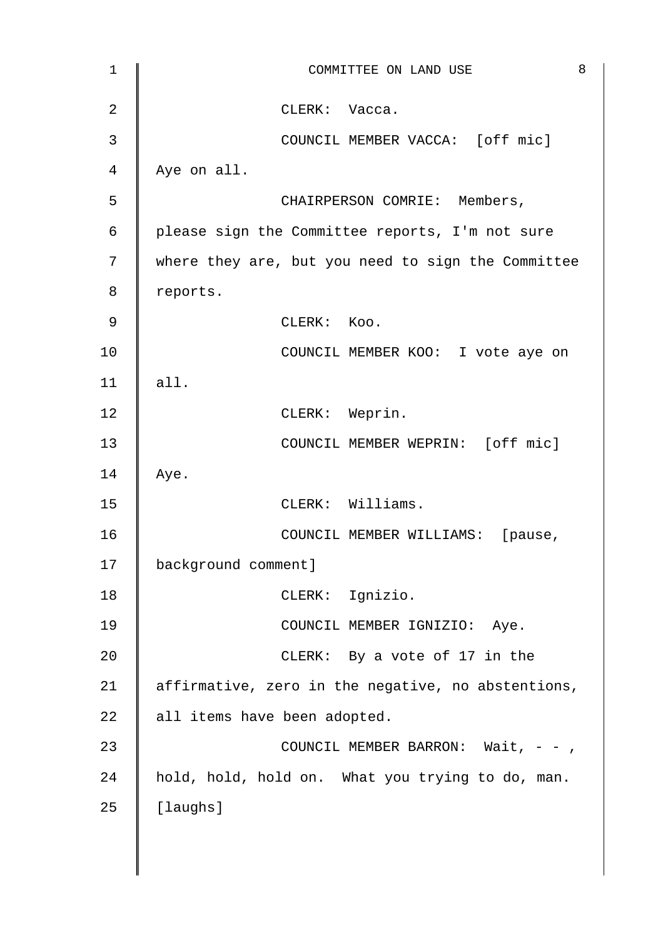| $\mathbf 1$    | 8<br>COMMITTEE ON LAND USE                         |
|----------------|----------------------------------------------------|
| $\overline{2}$ | CLERK: Vacca.                                      |
| 3              | COUNCIL MEMBER VACCA: [off mic]                    |
| 4              | Aye on all.                                        |
| 5              | CHAIRPERSON COMRIE: Members,                       |
| $\epsilon$     | please sign the Committee reports, I'm not sure    |
| 7              | where they are, but you need to sign the Committee |
| 8              | reports.                                           |
| 9              | CLERK: Koo.                                        |
| 10             | COUNCIL MEMBER KOO: I vote aye on                  |
| 11             | all.                                               |
| 12             | CLERK: Weprin.                                     |
| 13             | COUNCIL MEMBER WEPRIN: [off mic]                   |
| 14             | Aye.                                               |
| 15             | CLERK: Williams.                                   |
| 16             | COUNCIL MEMBER WILLIAMS: [pause,                   |
| 17             | background comment]                                |
| 18             | CLERK: Ignizio.                                    |
| 19             | COUNCIL MEMBER IGNIZIO: Aye.                       |
| 20             | CLERK: By a vote of 17 in the                      |
| 21             | affirmative, zero in the negative, no abstentions, |
| 22             | all items have been adopted.                       |
| 23             | COUNCIL MEMBER BARRON: Wait, $-$ -,                |
| 24             | hold, hold, hold on. What you trying to do, man.   |
| 25             | [laughs]                                           |
|                |                                                    |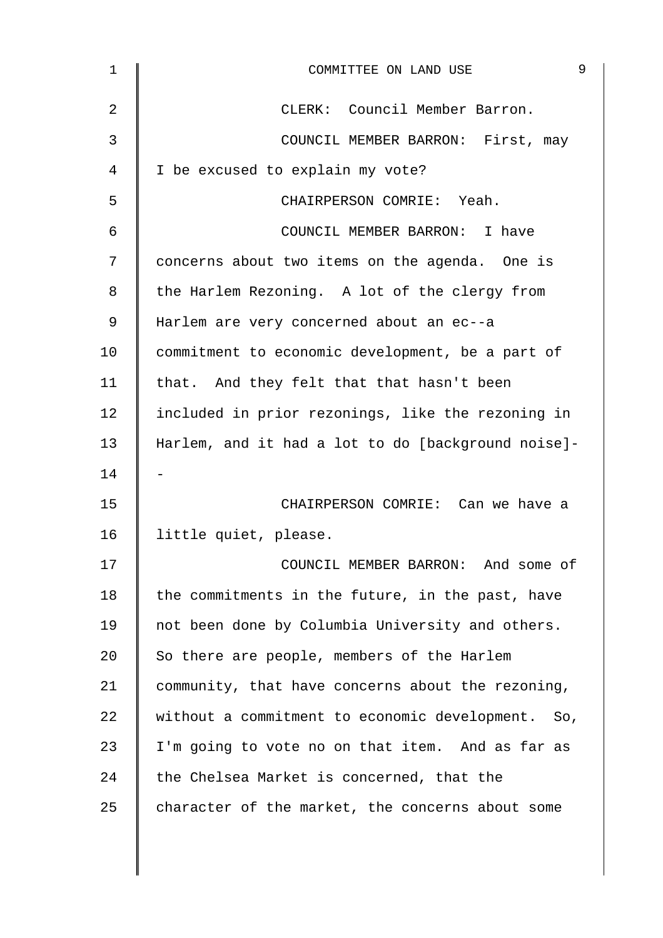| 1  | 9<br>COMMITTEE ON LAND USE                         |
|----|----------------------------------------------------|
| 2  | CLERK: Council Member Barron.                      |
| 3  | COUNCIL MEMBER BARRON: First, may                  |
| 4  | I be excused to explain my vote?                   |
| 5  | CHAIRPERSON COMRIE: Yeah.                          |
| 6  | COUNCIL MEMBER BARRON: I have                      |
| 7  | concerns about two items on the agenda. One is     |
| 8  | the Harlem Rezoning. A lot of the clergy from      |
| 9  | Harlem are very concerned about an ec--a           |
| 10 | commitment to economic development, be a part of   |
| 11 | that. And they felt that that hasn't been          |
| 12 | included in prior rezonings, like the rezoning in  |
| 13 | Harlem, and it had a lot to do [background noise]- |
| 14 |                                                    |
| 15 | CHAIRPERSON COMRIE: Can we have a                  |
| 16 | little quiet, please.                              |
| 17 | COUNCIL MEMBER BARRON: And some of                 |
| 18 | the commitments in the future, in the past, have   |
| 19 | not been done by Columbia University and others.   |
| 20 | So there are people, members of the Harlem         |
| 21 | community, that have concerns about the rezoning,  |
| 22 | without a commitment to economic development. So,  |
| 23 | I'm going to vote no on that item. And as far as   |
| 24 | the Chelsea Market is concerned, that the          |
| 25 | character of the market, the concerns about some   |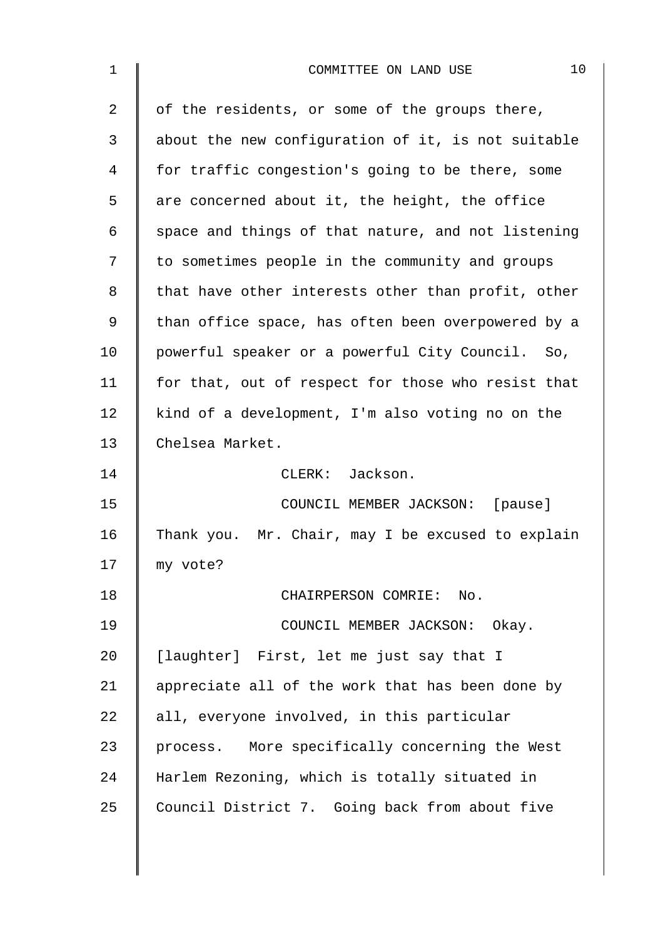| $\mathbf 1$    | 10<br>COMMITTEE ON LAND USE                        |
|----------------|----------------------------------------------------|
| 2              | of the residents, or some of the groups there,     |
| 3              | about the new configuration of it, is not suitable |
| $\overline{4}$ | for traffic congestion's going to be there, some   |
| 5              | are concerned about it, the height, the office     |
| 6              | space and things of that nature, and not listening |
| 7              | to sometimes people in the community and groups    |
| 8              | that have other interests other than profit, other |
| 9              | than office space, has often been overpowered by a |
| 10             | powerful speaker or a powerful City Council. So,   |
| 11             | for that, out of respect for those who resist that |
| 12             | kind of a development, I'm also voting no on the   |
| 13             | Chelsea Market.                                    |
| 14             | CLERK: Jackson.                                    |
| 15             | COUNCIL MEMBER JACKSON: [pause]                    |
| 16             | Thank you. Mr. Chair, may I be excused to explain  |
| 17             | my vote?                                           |
| 18             | CHAIRPERSON COMRIE: No.                            |
| 19             | COUNCIL MEMBER JACKSON: Okay.                      |
| 20             | [laughter] First, let me just say that I           |
| 21             | appreciate all of the work that has been done by   |
| 22             | all, everyone involved, in this particular         |
| 23             | process. More specifically concerning the West     |
| 24             | Harlem Rezoning, which is totally situated in      |
| 25             | Council District 7. Going back from about five     |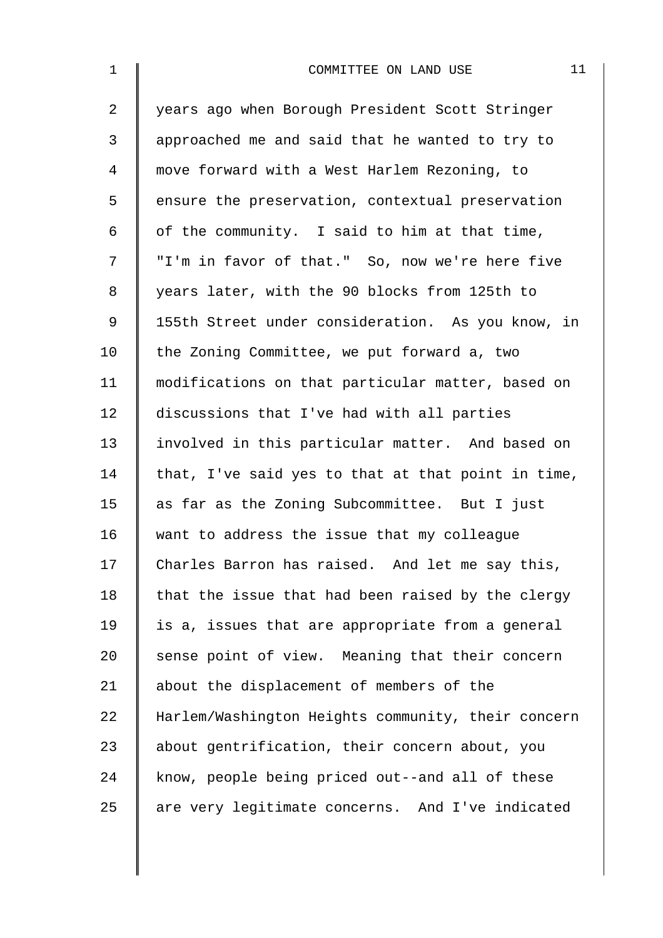| $\mathbf 1$    | 11<br>COMMITTEE ON LAND USE                        |
|----------------|----------------------------------------------------|
| $\overline{a}$ | years ago when Borough President Scott Stringer    |
| 3              | approached me and said that he wanted to try to    |
| $\overline{4}$ | move forward with a West Harlem Rezoning, to       |
| 5              | ensure the preservation, contextual preservation   |
| 6              | of the community. I said to him at that time,      |
| 7              | "I'm in favor of that." So, now we're here five    |
| 8              | years later, with the 90 blocks from 125th to      |
| 9              | 155th Street under consideration. As you know, in  |
| 10             | the Zoning Committee, we put forward a, two        |
| 11             | modifications on that particular matter, based on  |
| 12             | discussions that I've had with all parties         |
| 13             | involved in this particular matter. And based on   |
| 14             | that, I've said yes to that at that point in time, |
| 15             | as far as the Zoning Subcommittee. But I just      |
| 16             | want to address the issue that my colleague        |
| 17             | Charles Barron has raised. And let me say this,    |
| 18             | that the issue that had been raised by the clergy  |
| 19             | is a, issues that are appropriate from a general   |
| 20             | sense point of view. Meaning that their concern    |
| 21             | about the displacement of members of the           |
| 22             | Harlem/Washington Heights community, their concern |
| 23             | about gentrification, their concern about, you     |
| 24             | know, people being priced out--and all of these    |
| 25             | are very legitimate concerns. And I've indicated   |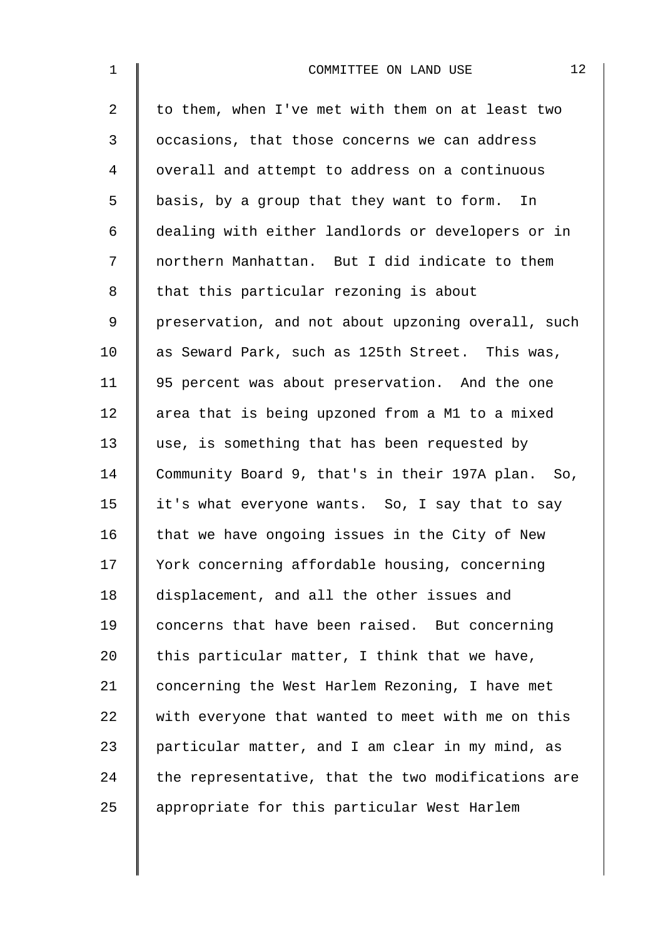| $\mathbf 1$    | 12<br>COMMITTEE ON LAND USE                        |
|----------------|----------------------------------------------------|
| $\overline{a}$ | to them, when I've met with them on at least two   |
| 3              | occasions, that those concerns we can address      |
| $\overline{4}$ | overall and attempt to address on a continuous     |
| 5              | basis, by a group that they want to form. In       |
| 6              | dealing with either landlords or developers or in  |
| 7              | northern Manhattan. But I did indicate to them     |
| 8              | that this particular rezoning is about             |
| $\mathsf 9$    | preservation, and not about upzoning overall, such |
| 10             | as Seward Park, such as 125th Street. This was,    |
| 11             | 95 percent was about preservation. And the one     |
| 12             | area that is being upzoned from a M1 to a mixed    |
| 13             | use, is something that has been requested by       |
| 14             | Community Board 9, that's in their 197A plan. So,  |
| 15             | it's what everyone wants. So, I say that to say    |
| 16             | that we have ongoing issues in the City of New     |
| 17             | York concerning affordable housing, concerning     |
| 18             | displacement, and all the other issues and         |
| 19             | concerns that have been raised. But concerning     |
| 20             | this particular matter, I think that we have,      |
| 21             | concerning the West Harlem Rezoning, I have met    |
| 22             | with everyone that wanted to meet with me on this  |
| 23             | particular matter, and I am clear in my mind, as   |
| 24             | the representative, that the two modifications are |
| 25             | appropriate for this particular West Harlem        |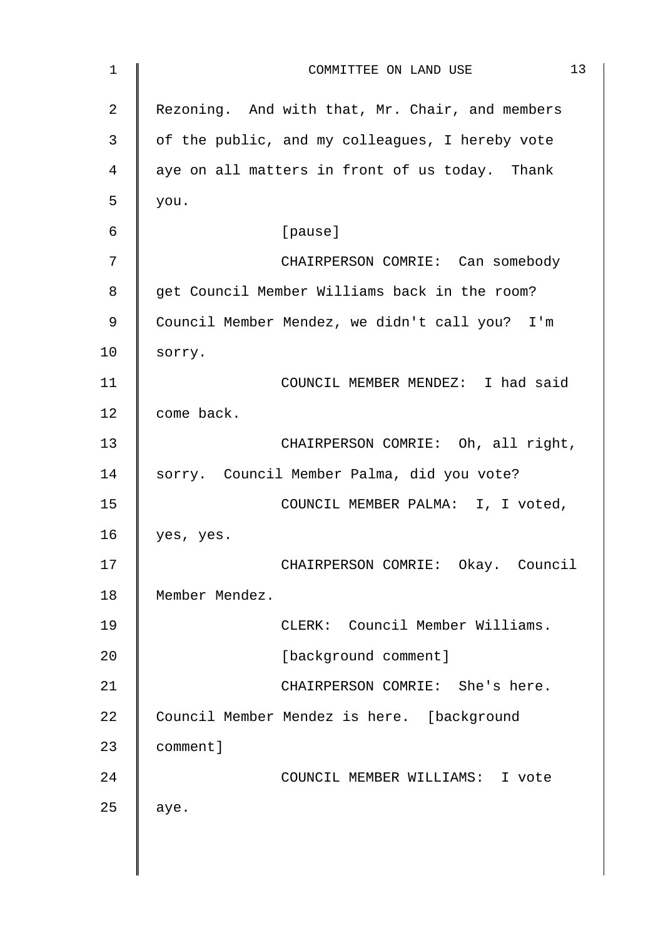| 1           | 13<br>COMMITTEE ON LAND USE                     |
|-------------|-------------------------------------------------|
| 2           | Rezoning. And with that, Mr. Chair, and members |
| 3           | of the public, and my colleagues, I hereby vote |
| 4           | aye on all matters in front of us today. Thank  |
| 5           | you.                                            |
| 6           | [pause]                                         |
| 7           | CHAIRPERSON COMRIE: Can somebody                |
| 8           | get Council Member Williams back in the room?   |
| $\mathsf 9$ | Council Member Mendez, we didn't call you? I'm  |
| 10          | sorry.                                          |
| 11          | COUNCIL MEMBER MENDEZ: I had said               |
| 12          | come back.                                      |
| 13          | CHAIRPERSON COMRIE: Oh, all right,              |
| 14          | sorry. Council Member Palma, did you vote?      |
| 15          | COUNCIL MEMBER PALMA: I, I voted,               |
| 16          | yes, yes.                                       |
| 17          | CHAIRPERSON COMRIE: Okay. Council               |
| 18          | Member Mendez.                                  |
| 19          | CLERK: Council Member Williams.                 |
| 20          | [background comment]                            |
| 21          | CHAIRPERSON COMRIE: She's here.                 |
| 22          | Council Member Mendez is here. [background      |
| 23          | comment]                                        |
| 24          | COUNCIL MEMBER WILLIAMS: I vote                 |
| 25          | aye.                                            |
|             |                                                 |
|             |                                                 |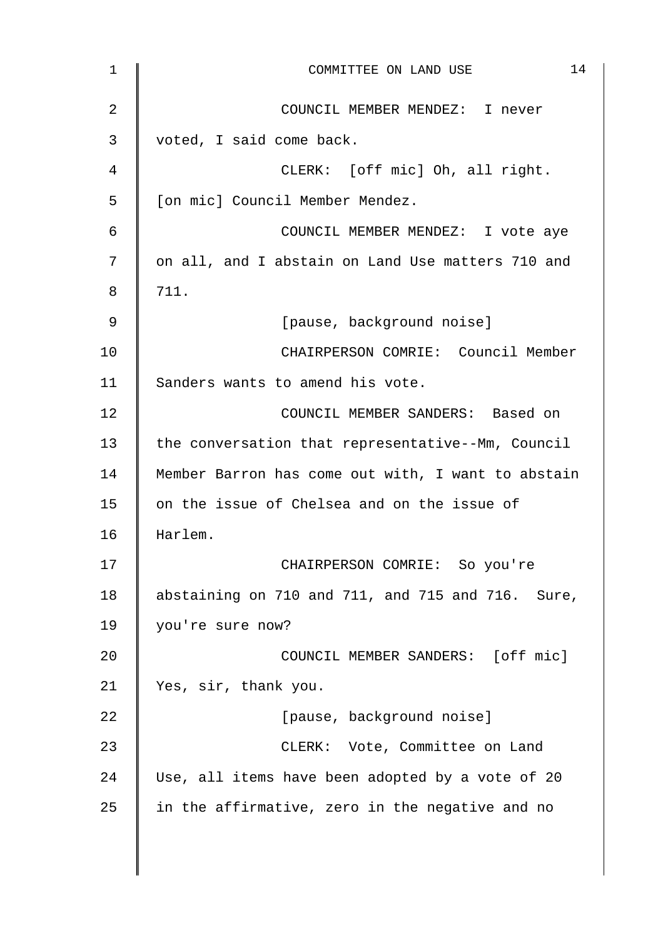| $\mathbf 1$    | 14<br>COMMITTEE ON LAND USE                        |
|----------------|----------------------------------------------------|
| $\overline{2}$ | COUNCIL MEMBER MENDEZ: I never                     |
| 3              | voted, I said come back.                           |
| 4              | CLERK: [off mic] Oh, all right.                    |
| 5              | [on mic] Council Member Mendez.                    |
| 6              | COUNCIL MEMBER MENDEZ: I vote aye                  |
| 7              | on all, and I abstain on Land Use matters 710 and  |
| 8              | 711.                                               |
| 9              | [pause, background noise]                          |
| 10             | CHAIRPERSON COMRIE: Council Member                 |
| 11             | Sanders wants to amend his vote.                   |
| 12             | COUNCIL MEMBER SANDERS: Based on                   |
| 13             | the conversation that representative--Mm, Council  |
| 14             | Member Barron has come out with, I want to abstain |
| 15             | on the issue of Chelsea and on the issue of        |
| 16             | Harlem.                                            |
| 17             | CHAIRPERSON COMRIE: So you're                      |
| 18             | abstaining on 710 and 711, and 715 and 716. Sure,  |
| 19             | you're sure now?                                   |
| 20             | COUNCIL MEMBER SANDERS: [off mic]                  |
| 21             | Yes, sir, thank you.                               |
| 22             | [pause, background noise]                          |
| 23             | CLERK: Vote, Committee on Land                     |
| 24             | Use, all items have been adopted by a vote of 20   |
| 25             | in the affirmative, zero in the negative and no    |
|                |                                                    |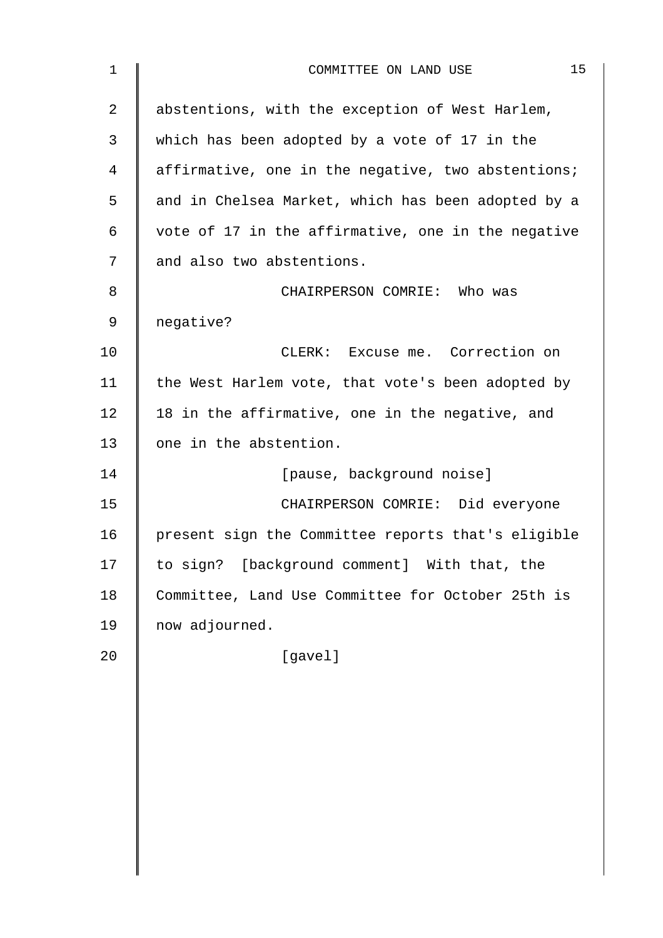| $\mathbf 1$    | 15<br>COMMITTEE ON LAND USE                        |
|----------------|----------------------------------------------------|
| $\overline{2}$ | abstentions, with the exception of West Harlem,    |
| 3              | which has been adopted by a vote of 17 in the      |
| 4              | affirmative, one in the negative, two abstentions; |
| 5              | and in Chelsea Market, which has been adopted by a |
| 6              | vote of 17 in the affirmative, one in the negative |
| 7              | and also two abstentions.                          |
| 8              | CHAIRPERSON COMRIE: Who was                        |
| 9              | negative?                                          |
| 10             | CLERK: Excuse me. Correction on                    |
| 11             | the West Harlem vote, that vote's been adopted by  |
| 12             | 18 in the affirmative, one in the negative, and    |
| 13             | one in the abstention.                             |
| 14             | [pause, background noise]                          |
| 15             | CHAIRPERSON COMRIE: Did everyone                   |
| 16             | present sign the Committee reports that's eligible |
| 17             | to sign? [background comment] With that, the       |
| 18             | Committee, Land Use Committee for October 25th is  |
| 19             | now adjourned.                                     |
| 20             | [gavel]                                            |
|                |                                                    |
|                |                                                    |
|                |                                                    |
|                |                                                    |
|                |                                                    |
|                |                                                    |
|                |                                                    |
|                |                                                    |